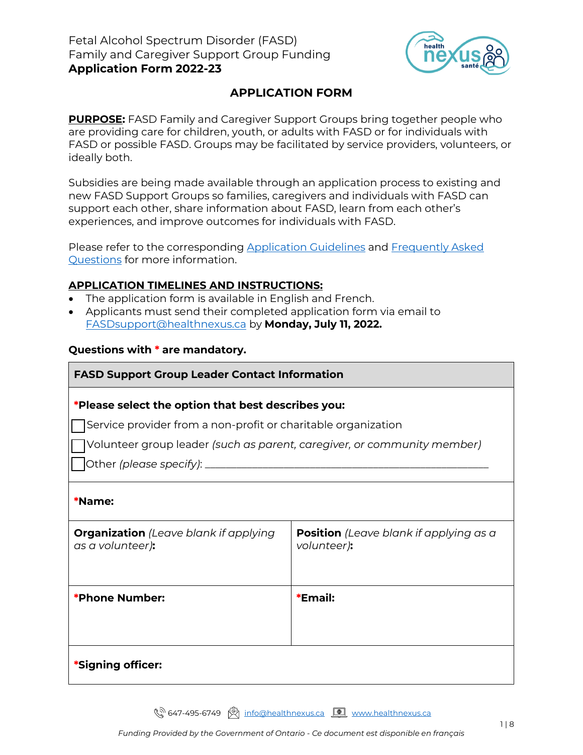

## **APPLICATION FORM**

**PURPOSE:** FASD Family and Caregiver Support Groups bring together people who are providing care for children, youth, or adults with FASD or for individuals with FASD or possible FASD. Groups may be facilitated by service providers, volunteers, or ideally both.

Subsidies are being made available through an application process to existing and new FASD Support Groups so families, caregivers and individuals with FASD can support each other, share information about FASD, learn from each other's experiences, and improve outcomes for individuals with FASD.

Please refer to the corresponding [Application Guidelines](https://fasdinfotsaf.ca/wp-content/uploads/2022/06/FASDSubsidy_Guidelines_2022-23.pdf) and [Frequently Asked](https://fasdinfotsaf.ca/wp-content/uploads/2022/06/FASDSubsidy_FAQs_2022-23.pdf)  [Questions](https://fasdinfotsaf.ca/wp-content/uploads/2022/06/FASDSubsidy_FAQs_2022-23.pdf) for more information.

### **APPLICATION TIMELINES AND INSTRUCTIONS:**

- The application form is available in English and French.
- Applicants must send their completed application form via email to [FASDsupport@healthnexus.ca](mailto:FASDsupport@healthnexus.ca) by **Monday, July 11, 2022.**

### **Questions with \* are mandatory.**

# **FASD Support Group Leader Contact Information**

### **\*Please select the option that best describes you:**

Service provider from a non-profit or charitable organization

☐ Volunteer group leader *(such as parent, caregiver, or community member)*

☐ Other *(please specify)*: \_\_\_\_\_\_\_\_\_\_\_\_\_\_\_\_\_\_\_\_\_\_\_\_\_\_\_\_\_\_\_\_\_\_\_\_\_\_\_\_\_\_\_\_\_\_\_\_\_\_\_\_\_\_

| <b>*Name:</b> |  |
|---------------|--|
|---------------|--|

| <b>Organization</b> (Leave blank if applying<br>as a volunteer): | <b>Position</b> (Leave blank if applying as a<br>volunteer): |
|------------------------------------------------------------------|--------------------------------------------------------------|
| *Phone Number:                                                   | *Email:                                                      |
| *Signing officer:                                                |                                                              |

९<sup>२ 647-495-6749 <u>(थ्र</u>ी) [info@healthnexus.ca](mailto:info@healthnexus.ca) <u>[ ण्र</u>ी [www.healthnexus.ca](http://www.healthnexus.ca/)</sup>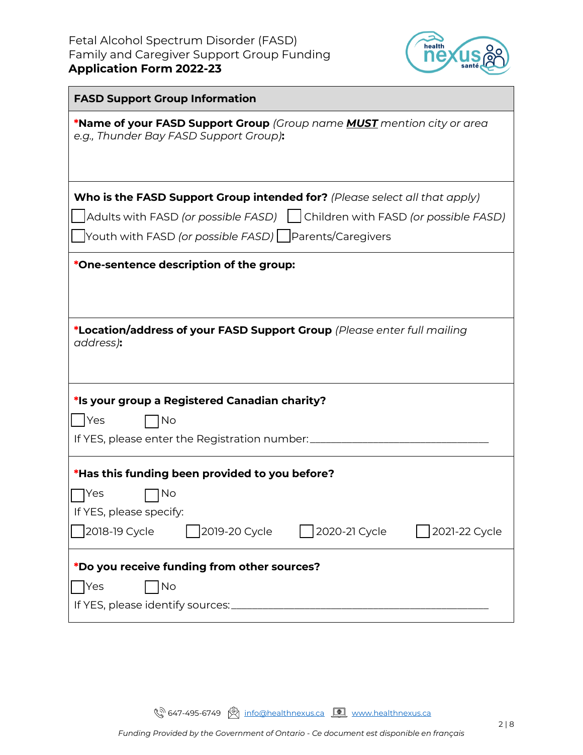

| <b>FASD Support Group Information</b>                                                                                   |  |  |  |  |
|-------------------------------------------------------------------------------------------------------------------------|--|--|--|--|
| *Name of your FASD Support Group (Group name <b>MUST</b> mention city or area<br>e.g., Thunder Bay FASD Support Group): |  |  |  |  |
|                                                                                                                         |  |  |  |  |
| Who is the FASD Support Group intended for? (Please select all that apply)                                              |  |  |  |  |
| Adults with FASD (or possible FASD)     Children with FASD (or possible FASD)                                           |  |  |  |  |
| △ Youth with FASD (or possible FASD) △ Parents/Caregivers                                                               |  |  |  |  |
| *One-sentence description of the group:                                                                                 |  |  |  |  |
|                                                                                                                         |  |  |  |  |
|                                                                                                                         |  |  |  |  |
| *Location/address of your FASD Support Group (Please enter full mailing<br>address):                                    |  |  |  |  |
|                                                                                                                         |  |  |  |  |
|                                                                                                                         |  |  |  |  |
| *Is your group a Registered Canadian charity?                                                                           |  |  |  |  |
| <b>Yes</b><br>No                                                                                                        |  |  |  |  |
| If YES, please enter the Registration number:                                                                           |  |  |  |  |
| *Has this funding been provided to you before?                                                                          |  |  |  |  |
| No<br>Yes                                                                                                               |  |  |  |  |
| If YES, please specify:                                                                                                 |  |  |  |  |
| 2019-20 Cycle<br>2020-21 Cycle<br>2018-19 Cycle<br>2021-22 Cycle                                                        |  |  |  |  |
| *Do you receive funding from other sources?                                                                             |  |  |  |  |
| Yes<br>No                                                                                                               |  |  |  |  |
|                                                                                                                         |  |  |  |  |

**(** $\sqrt[3]{\hspace{1ex}}$  647-495-6749  $\boxed{\circledR}$  [info@healthnexus.ca](mailto:info@healthnexus.ca)  $\boxed{\circledR}$  [www.healthnexus.ca](http://www.healthnexus.ca/)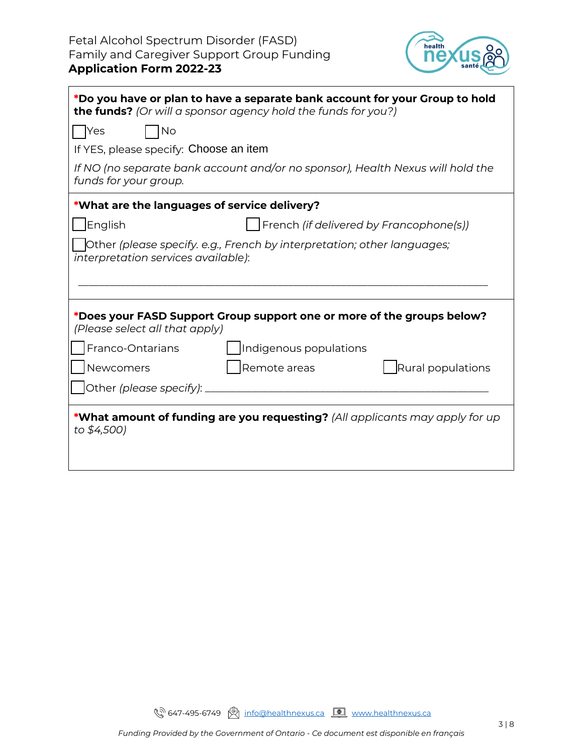

| *Do you have or plan to have a separate bank account for your Group to hold<br>the funds? (Or will a sponsor agency hold the funds for you?)           |  |  |  |
|--------------------------------------------------------------------------------------------------------------------------------------------------------|--|--|--|
| <b>No</b><br>  Yes                                                                                                                                     |  |  |  |
| If YES, please specify: Choose an item                                                                                                                 |  |  |  |
| If NO (no separate bank account and/or no sponsor), Health Nexus will hold the<br>funds for your group.                                                |  |  |  |
| *What are the languages of service delivery?                                                                                                           |  |  |  |
| English<br>French (if delivered by Francophone(s))                                                                                                     |  |  |  |
| Other (please specify. e.g., French by interpretation; other languages;<br>interpretation services available):                                         |  |  |  |
| *Does your FASD Support Group support one or more of the groups below?<br>(Please select all that apply)<br>Franco-Ontarians<br>Indigenous populations |  |  |  |
| Newcomers<br>Rural populations<br>Remote areas                                                                                                         |  |  |  |
| Other (please specify): ___                                                                                                                            |  |  |  |
| *What amount of funding are you requesting? (All applicants may apply for up<br>to \$4,500)                                                            |  |  |  |

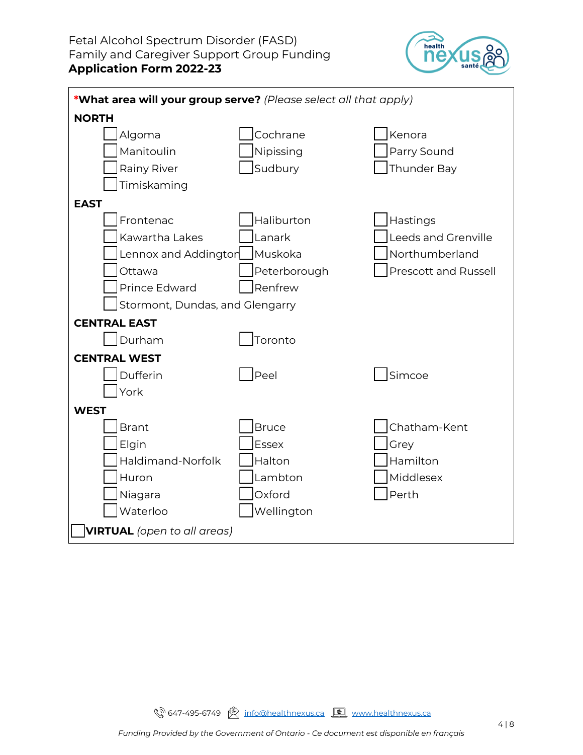

| *What area will your group serve? (Please select all that apply) |              |                             |  |
|------------------------------------------------------------------|--------------|-----------------------------|--|
| <b>NORTH</b>                                                     |              |                             |  |
| Algoma                                                           | Cochrane     | Kenora                      |  |
| Manitoulin                                                       | Nipissing    | Parry Sound                 |  |
| <b>Rainy River</b>                                               | Sudbury      | Thunder Bay                 |  |
| Timiskaming                                                      |              |                             |  |
| <b>EAST</b>                                                      |              |                             |  |
| Frontenac                                                        | Haliburton   | Hastings                    |  |
| Kawartha Lakes                                                   | Lanark       | <b>Leeds and Grenville</b>  |  |
| Lennox and Addingtor                                             | Muskoka      | Northumberland              |  |
| Ottawa                                                           | Peterborough | <b>Prescott and Russell</b> |  |
| <b>Prince Edward</b>                                             | Renfrew      |                             |  |
| Stormont, Dundas, and Glengarry                                  |              |                             |  |
| <b>CENTRAL EAST</b>                                              |              |                             |  |
| Durham                                                           | Toronto      |                             |  |
| <b>CENTRAL WEST</b>                                              |              |                             |  |
| Dufferin                                                         | Peel         | Simcoe                      |  |
| York                                                             |              |                             |  |
| <b>WEST</b>                                                      |              |                             |  |
| <b>Brant</b>                                                     | Bruce        | Chatham-Kent                |  |
| Elgin                                                            | <b>Essex</b> | Grey                        |  |
| Haldimand-Norfolk                                                | Halton       | Hamilton                    |  |
| Huron                                                            | Lambton      | Middlesex                   |  |
| Niagara                                                          | Oxford       | Perth                       |  |
| Waterloo                                                         | Wellington   |                             |  |
| <b>VIRTUAL</b> (open to all areas)                               |              |                             |  |
|                                                                  |              |                             |  |

**(** $\sqrt[3]{\hspace{1ex}}$  647-495-6749  $\boxed{\circledR}$  [info@healthnexus.ca](mailto:info@healthnexus.ca)  $\boxed{\circledR}$  [www.healthnexus.ca](http://www.healthnexus.ca/)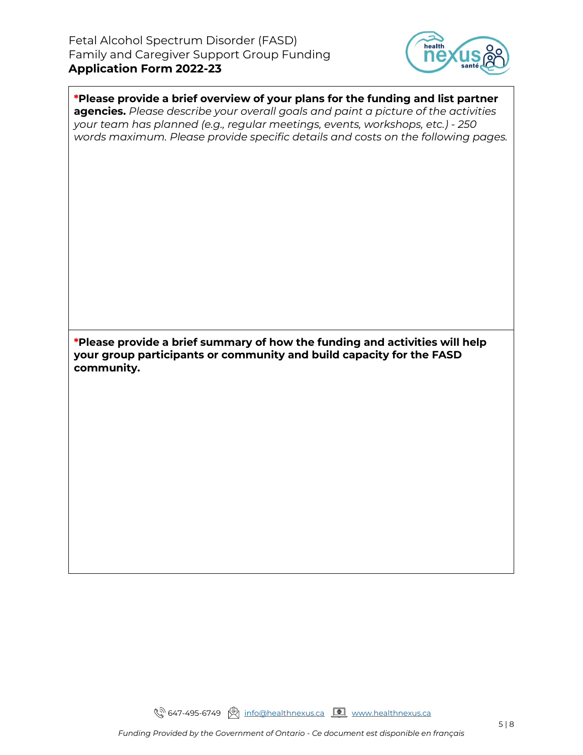

**\*Please provide a brief overview of your plans for the funding and list partner agencies.** *Please describe your overall goals and paint a picture of the activities your team has planned (e.g., regular meetings, events, workshops, etc.) - 250 words maximum. Please provide specific details and costs on the following pages.*

**\*Please provide a brief summary of how the funding and activities will help your group participants or community and build capacity for the FASD community.**

९<sup>२)</sup> 647-495-6749 । <u>शिक्षा [info@healthnexus.ca](mailto:info@healthnexus.ca) <u>[</u>•] [www.healthnexus.ca](http://www.healthnexus.ca/)</u>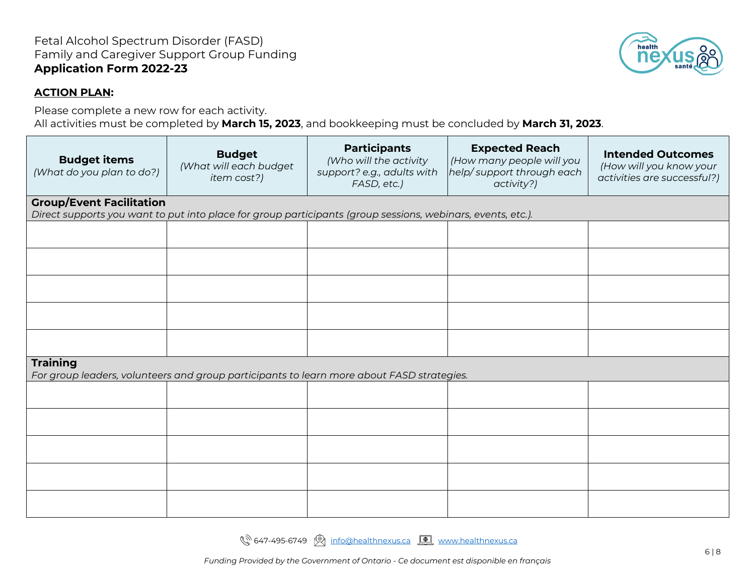#### **ACTION PLAN:**

Please complete a new row for each activity.

All activities must be completed by **March 15, 2023**, and bookkeeping must be concluded by **March 31, 2023**.

| <b>Budget items</b><br>(What do you plan to do?)                                                             | <b>Budget</b><br>(What will each budget<br>item cost?)                                                      | <b>Participants</b><br>(Who will the activity<br>support? e.g., adults with<br>FASD, etc.) | <b>Expected Reach</b><br>(How many people will you<br>help/support through each<br>activity?) | <b>Intended Outcomes</b><br>(How will you know your<br>activities are successful?) |
|--------------------------------------------------------------------------------------------------------------|-------------------------------------------------------------------------------------------------------------|--------------------------------------------------------------------------------------------|-----------------------------------------------------------------------------------------------|------------------------------------------------------------------------------------|
| <b>Group/Event Facilitation</b>                                                                              |                                                                                                             |                                                                                            |                                                                                               |                                                                                    |
|                                                                                                              | Direct supports you want to put into place for group participants (group sessions, webinars, events, etc.). |                                                                                            |                                                                                               |                                                                                    |
|                                                                                                              |                                                                                                             |                                                                                            |                                                                                               |                                                                                    |
|                                                                                                              |                                                                                                             |                                                                                            |                                                                                               |                                                                                    |
|                                                                                                              |                                                                                                             |                                                                                            |                                                                                               |                                                                                    |
|                                                                                                              |                                                                                                             |                                                                                            |                                                                                               |                                                                                    |
|                                                                                                              |                                                                                                             |                                                                                            |                                                                                               |                                                                                    |
| <b>Training</b><br>For group leaders, volunteers and group participants to learn more about FASD strategies. |                                                                                                             |                                                                                            |                                                                                               |                                                                                    |
|                                                                                                              |                                                                                                             |                                                                                            |                                                                                               |                                                                                    |
|                                                                                                              |                                                                                                             |                                                                                            |                                                                                               |                                                                                    |
|                                                                                                              |                                                                                                             |                                                                                            |                                                                                               |                                                                                    |
|                                                                                                              |                                                                                                             |                                                                                            |                                                                                               |                                                                                    |
|                                                                                                              |                                                                                                             |                                                                                            |                                                                                               |                                                                                    |

९<sup>२ 647</sup>-495-6749 । [info@healthnexus.ca](mailto:info@healthnexus.ca) <u>[ ण</u> [www.healthnexus.ca](http://www.healthnexus.ca/)

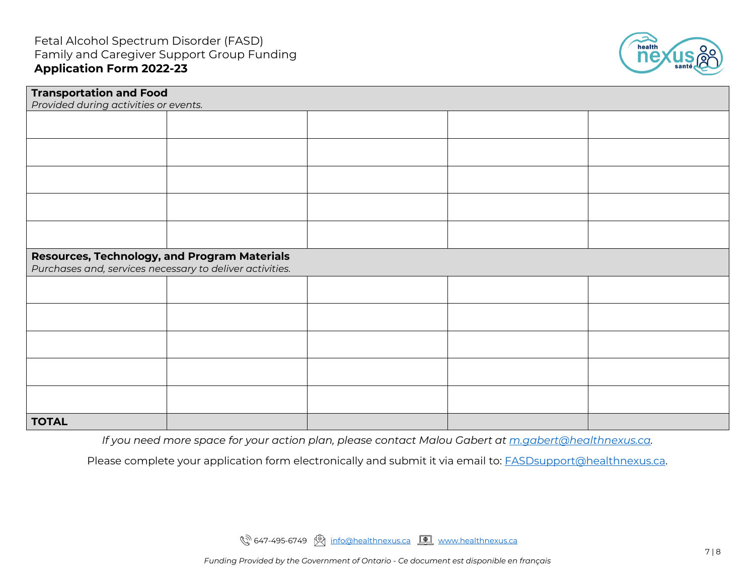

| <b>Transportation and Food</b>                           |  |  |  |  |
|----------------------------------------------------------|--|--|--|--|
| Provided during activities or events.                    |  |  |  |  |
|                                                          |  |  |  |  |
|                                                          |  |  |  |  |
|                                                          |  |  |  |  |
|                                                          |  |  |  |  |
|                                                          |  |  |  |  |
|                                                          |  |  |  |  |
|                                                          |  |  |  |  |
|                                                          |  |  |  |  |
|                                                          |  |  |  |  |
|                                                          |  |  |  |  |
|                                                          |  |  |  |  |
| Resources, Technology, and Program Materials             |  |  |  |  |
| Purchases and, services necessary to deliver activities. |  |  |  |  |
|                                                          |  |  |  |  |
|                                                          |  |  |  |  |
|                                                          |  |  |  |  |
|                                                          |  |  |  |  |
|                                                          |  |  |  |  |
|                                                          |  |  |  |  |
|                                                          |  |  |  |  |
|                                                          |  |  |  |  |
|                                                          |  |  |  |  |
|                                                          |  |  |  |  |
|                                                          |  |  |  |  |
| <b>TOTAL</b>                                             |  |  |  |  |

*If you need more space for your action plan, please contact Malou Gabert at [m.gabert@healthnexus.ca.](mailto:m.gabert@healthnexus.ca)*

Please complete your application form electronically and submit it via email to: **FASDsupport@healthnexus.ca**.

९२ 647-495-6749 श्रि [info@healthnexus.ca](mailto:info@healthnexus.ca) <u>[ [www.healthnexus.ca](http://www.healthnexus.ca/)</u>